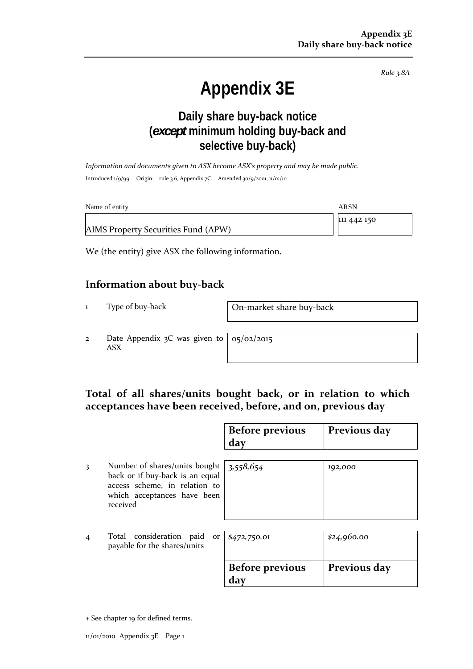*Rule 3.8A*

# **Appendix 3E**

### **Daily share buy-back notice (***except* **minimum holding buy-back and selective buy-back)**

*Information and documents given to ASX become ASX's property and may be made public.* Introduced 1/9/99. Origin: rule 3.6, Appendix 7C. Amended 30/9/2001, 11/01/10

| Name of entity                      | ARSN        |
|-------------------------------------|-------------|
|                                     | 111 442 150 |
| AIMS Property Securities Fund (APW) |             |

We (the entity) give ASX the following information.

#### **Information about buy‐back**

1 Type of buy-back **On-market share buy-back** 

2 Date Appendix 3C was given to ASX

05/02/2015

#### **Total of all shares/units bought back, or in relation to which acceptances have been received, before, and on, previous day**

|                |                                                                                                                                              | <b>Before previous</b><br>day | Previous day |
|----------------|----------------------------------------------------------------------------------------------------------------------------------------------|-------------------------------|--------------|
| 3              | Number of shares/units bought<br>back or if buy-back is an equal<br>access scheme, in relation to<br>which acceptances have been<br>received | 3,558,654                     | 192,000      |
| $\overline{4}$ | Total consideration paid<br>or<br>payable for the shares/units                                                                               | \$472,750.01                  | \$24,960.00  |
|                |                                                                                                                                              | <b>Before previous</b><br>day | Previous day |

<sup>+</sup> See chapter 19 for defined terms.